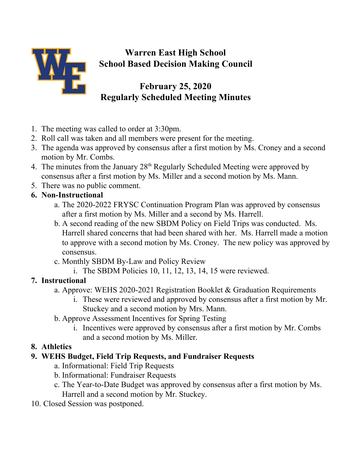

## **Warren East High School School Based Decision Making Council**

## **February 25, 2020 Regularly Scheduled Meeting Minutes**

- 1. The meeting was called to order at 3:30pm.
- 2. Roll call was taken and all members were present for the meeting.
- 3. The agenda was approved by consensus after a first motion by Ms. Croney and a second motion by Mr. Combs.
- 4. The minutes from the January  $28<sup>th</sup>$  Regularly Scheduled Meeting were approved by consensus after a first motion by Ms. Miller and a second motion by Ms. Mann.
- 5. There was no public comment.
- **6. Non-Instructional**
	- a. The 2020-2022 FRYSC Continuation Program Plan was approved by consensus after a first motion by Ms. Miller and a second by Ms. Harrell.
	- b. A second reading of the new SBDM Policy on Field Trips was conducted. Ms. Harrell shared concerns that had been shared with her. Ms. Harrell made a motion to approve with a second motion by Ms. Croney. The new policy was approved by consensus.
	- c. Monthly SBDM By-Law and Policy Review
		- i. The SBDM Policies 10, 11, 12, 13, 14, 15 were reviewed.

## **7. Instructional**

- a. Approve: WEHS 2020-2021 Registration Booklet & Graduation Requirements
	- i. These were reviewed and approved by consensus after a first motion by Mr. Stuckey and a second motion by Mrs. Mann.
- b. Approve Assessment Incentives for Spring Testing
	- i. Incentives were approved by consensus after a first motion by Mr. Combs and a second motion by Ms. Miller.
- **8. Athletics**

## **9. WEHS Budget, Field Trip Requests, and Fundraiser Requests**

- a. Informational: Field Trip Requests
- b. Informational: Fundraiser Requests
- c. The Year-to-Date Budget was approved by consensus after a first motion by Ms. Harrell and a second motion by Mr. Stuckey.
- 10. Closed Session was postponed.